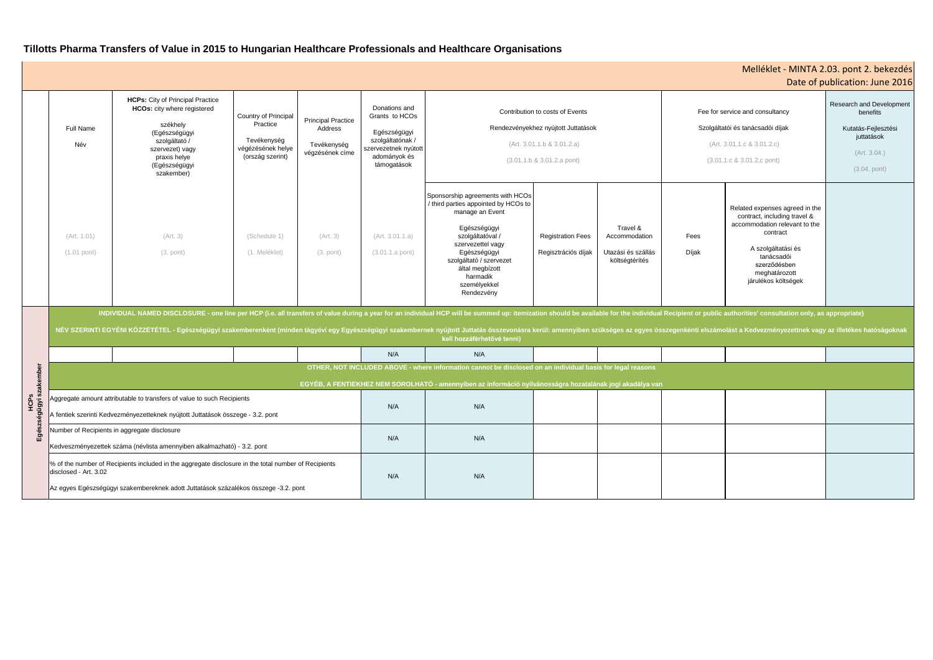# **Tillotts Pharma Transfers of Value in 2015 to Hungarian Healthcare Professionals and Healthcare Organisations**

| Melléklet - MINTA 2.03. pont 2. bekezdés<br>Date of publication: June 2016 |                                                                                                                                                                                                                                                                                                                                                                                                                                                                                                |                                                                                                                                                                                        |                                                                                          |                                                                        |                                                                                                                            |                                                                                                                                                                                                                                                              |                                                 |                                                                   |                                                                                                                                 |                                                                                                                                                                                                         |                                                                                                                    |  |  |
|----------------------------------------------------------------------------|------------------------------------------------------------------------------------------------------------------------------------------------------------------------------------------------------------------------------------------------------------------------------------------------------------------------------------------------------------------------------------------------------------------------------------------------------------------------------------------------|----------------------------------------------------------------------------------------------------------------------------------------------------------------------------------------|------------------------------------------------------------------------------------------|------------------------------------------------------------------------|----------------------------------------------------------------------------------------------------------------------------|--------------------------------------------------------------------------------------------------------------------------------------------------------------------------------------------------------------------------------------------------------------|-------------------------------------------------|-------------------------------------------------------------------|---------------------------------------------------------------------------------------------------------------------------------|---------------------------------------------------------------------------------------------------------------------------------------------------------------------------------------------------------|--------------------------------------------------------------------------------------------------------------------|--|--|
|                                                                            | <b>Full Name</b><br>Név                                                                                                                                                                                                                                                                                                                                                                                                                                                                        | <b>HCPs:</b> City of Principal Practice<br>HCOs: city where registered<br>székhely<br>(Egészségügyi<br>szolgáltató /<br>szervezet) vagy<br>praxis helye<br>(Egészségügyi<br>szakember) | Country of Principal<br>Practice<br>Tevékenység<br>végézésének helye<br>(ország szerint) | <b>Principal Practice</b><br>Address<br>Tevékenység<br>végzésének címe | Donations and<br>Grants to HCOs<br>Egészségügyi<br>szolgáltatónak /<br>szervezetnek nyútott<br>adományok és<br>támogatások | Contribution to costs of Events<br>Rendezvényekhez nyújtott Juttatások<br>(Art. 3.01.1.b & 3.01.2.a)<br>$(3.01.1.b & 3.01.2.a$ pont)                                                                                                                         |                                                 |                                                                   | Fee for service and consultancy<br>Szolgáltatói és tanácsadói díjak<br>(Art. 3.01.1.c & 3.01.2.c)<br>(3.01.1.c & 3.01.2.c pont) |                                                                                                                                                                                                         | <b>Research and Development</b><br>benefits<br>Kutatás-Fejlesztési<br>juttatások<br>(Art. 3.04.)<br>$(3.04.$ pont) |  |  |
|                                                                            | (Art. 1.01)<br>$(1.01$ pont)                                                                                                                                                                                                                                                                                                                                                                                                                                                                   | (Art. 3)<br>$(3.$ pont)                                                                                                                                                                | (Schedule 1)<br>(1. Meléklet)                                                            | (Art. 3)<br>$(3.$ pont)                                                | (Art. 3.01.1.a)<br>$(3.01.1.a$ pont)                                                                                       | Sponsorship agreements with HCOs<br>/ third parties appointed by HCOs to<br>manage an Event<br>Egészségügyi<br>szolgáltatóval /<br>szervezettel vagy<br>Egészségügyi<br>szolgáltató / szervezet<br>által megbízott<br>harmadik<br>személyekkel<br>Rendezvény | <b>Registration Fees</b><br>Regisztrációs díjak | Travel &<br>Accommodation<br>Utazási és szállás<br>költségtérítés | Fees<br>Díjak                                                                                                                   | Related expenses agreed in the<br>contract, including travel &<br>accommodation relevant to the<br>contract<br>A szolgáltatási és<br>tanácsadói<br>szerződésben<br>meghatározott<br>járulékos költségek |                                                                                                                    |  |  |
|                                                                            | INDIVIDUAL NAMED DISCLOSURE - one line per HCP (i.e. all transfers of value during a year for an individual HCP will be summed up: itemization should be available for the individual Recipient or public authorities' consult<br>NÉV SZERINTI EGYÉNI KÖZZÉTÉTEL - Egészségügyi szakemberenként (minden tágyévi egy Egyészségügyi szakembernek nyújtott Juttatás összevonásra kerül: amennyiben szükséges az egyes összegenkénti elszámolást a Kedvezményezettne<br>kell hozzáférhetővé tenni) |                                                                                                                                                                                        |                                                                                          |                                                                        |                                                                                                                            |                                                                                                                                                                                                                                                              |                                                 |                                                                   |                                                                                                                                 |                                                                                                                                                                                                         |                                                                                                                    |  |  |
|                                                                            |                                                                                                                                                                                                                                                                                                                                                                                                                                                                                                |                                                                                                                                                                                        |                                                                                          |                                                                        | N/A                                                                                                                        | N/A                                                                                                                                                                                                                                                          |                                                 |                                                                   |                                                                                                                                 |                                                                                                                                                                                                         |                                                                                                                    |  |  |
|                                                                            | OTHER, NOT INCLUDED ABOVE - where information cannot be disclosed on an individual basis for legal reasons                                                                                                                                                                                                                                                                                                                                                                                     |                                                                                                                                                                                        |                                                                                          |                                                                        |                                                                                                                            |                                                                                                                                                                                                                                                              |                                                 |                                                                   |                                                                                                                                 |                                                                                                                                                                                                         |                                                                                                                    |  |  |
| szakember                                                                  | EGYÉB, A FENTIEKHEZ NEM SOROLHATÓ - amennyiben az információ nyilvánosságra hozatalának jogi akadálya van                                                                                                                                                                                                                                                                                                                                                                                      |                                                                                                                                                                                        |                                                                                          |                                                                        |                                                                                                                            |                                                                                                                                                                                                                                                              |                                                 |                                                                   |                                                                                                                                 |                                                                                                                                                                                                         |                                                                                                                    |  |  |
| ှင့်<br>igyi<br>Egés                                                       | Aggregate amount attributable to transfers of value to such Recipients<br>A fentiek szerinti Kedvezményezetteknek nyújtott Juttatások összege - 3.2. pont                                                                                                                                                                                                                                                                                                                                      |                                                                                                                                                                                        |                                                                                          |                                                                        | N/A                                                                                                                        | N/A                                                                                                                                                                                                                                                          |                                                 |                                                                   |                                                                                                                                 |                                                                                                                                                                                                         |                                                                                                                    |  |  |
|                                                                            | Number of Recipients in aggregate disclosure<br>Kedveszményezettek száma (névlista amennyiben alkalmazható) - 3.2. pont                                                                                                                                                                                                                                                                                                                                                                        |                                                                                                                                                                                        |                                                                                          |                                                                        | N/A                                                                                                                        | N/A                                                                                                                                                                                                                                                          |                                                 |                                                                   |                                                                                                                                 |                                                                                                                                                                                                         |                                                                                                                    |  |  |
|                                                                            | % of the number of Recipients included in the aggregate disclosure in the total number of Recipients<br>disclosed - Art. 3.02<br>Az egyes Egészségügyi szakembereknek adott Juttatások százalékos összege -3.2. pont                                                                                                                                                                                                                                                                           |                                                                                                                                                                                        |                                                                                          |                                                                        | N/A                                                                                                                        | N/A                                                                                                                                                                                                                                                          |                                                 |                                                                   |                                                                                                                                 |                                                                                                                                                                                                         |                                                                                                                    |  |  |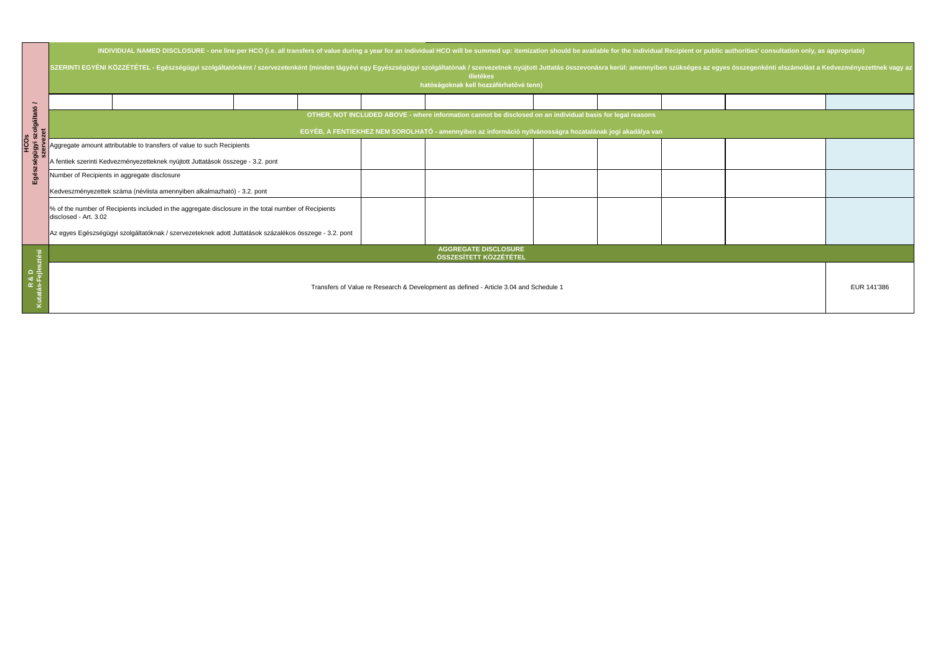|     | INDIVIDUAL NAMED DISCLOSURE - one line per HCO (i.e. all transfers of value during a year for an individual HCO will be summed up: itemization should be available for the individual Recipient or public authorities' consult                                                        |  |  |  |  |  |  |  |  |  |  |  |
|-----|---------------------------------------------------------------------------------------------------------------------------------------------------------------------------------------------------------------------------------------------------------------------------------------|--|--|--|--|--|--|--|--|--|--|--|
| Egé | SZERINTI EGYÉNI KÖZZÉTÉTEL - Egészségügyi szolgáltatónként / szervezetenként (minden tágyévi egy Egyészségügyi szolgáltatónak / szervezetnek nyújtott Juttatás összevonásra kerül: amennyiben szükséges az egyes összegenkénti<br>illetékes<br>hatóságoknak kell hozzáférhetővé tenn) |  |  |  |  |  |  |  |  |  |  |  |
|     |                                                                                                                                                                                                                                                                                       |  |  |  |  |  |  |  |  |  |  |  |
|     | OTHER, NOT INCLUDED ABOVE - where information cannot be disclosed on an individual basis for legal reasons                                                                                                                                                                            |  |  |  |  |  |  |  |  |  |  |  |
|     | EGYÉB, A FENTIEKHEZ NEM SOROLHATÓ - amennyiben az információ nyilvánosságra hozatalának jogi akadálya van                                                                                                                                                                             |  |  |  |  |  |  |  |  |  |  |  |
|     | Aggregate amount attributable to transfers of value to such Recipients                                                                                                                                                                                                                |  |  |  |  |  |  |  |  |  |  |  |
|     | A fentiek szerinti Kedvezményezetteknek nyújtott Juttatások összege - 3.2. pont                                                                                                                                                                                                       |  |  |  |  |  |  |  |  |  |  |  |
|     | Number of Recipients in aggregate disclosure                                                                                                                                                                                                                                          |  |  |  |  |  |  |  |  |  |  |  |
|     | Kedveszményezettek száma (névlista amennyiben alkalmazható) - 3.2. pont                                                                                                                                                                                                               |  |  |  |  |  |  |  |  |  |  |  |
|     | % of the number of Recipients included in the aggregate disclosure in the total number of Recipients<br>disclosed - Art. 3.02                                                                                                                                                         |  |  |  |  |  |  |  |  |  |  |  |
|     | Az egyes Egészségügyi szolgáltatóknak / szervezeteknek adott Juttatások százalékos összege - 3.2. pont                                                                                                                                                                                |  |  |  |  |  |  |  |  |  |  |  |
|     | <b>AGGREGATE DISCLOSURE</b><br>ÖSSZESÍTETT KÖZZÉTÉTEL                                                                                                                                                                                                                                 |  |  |  |  |  |  |  |  |  |  |  |
|     | Transfers of Value re Research & Development as defined - Article 3.04 and Schedule 1                                                                                                                                                                                                 |  |  |  |  |  |  |  |  |  |  |  |